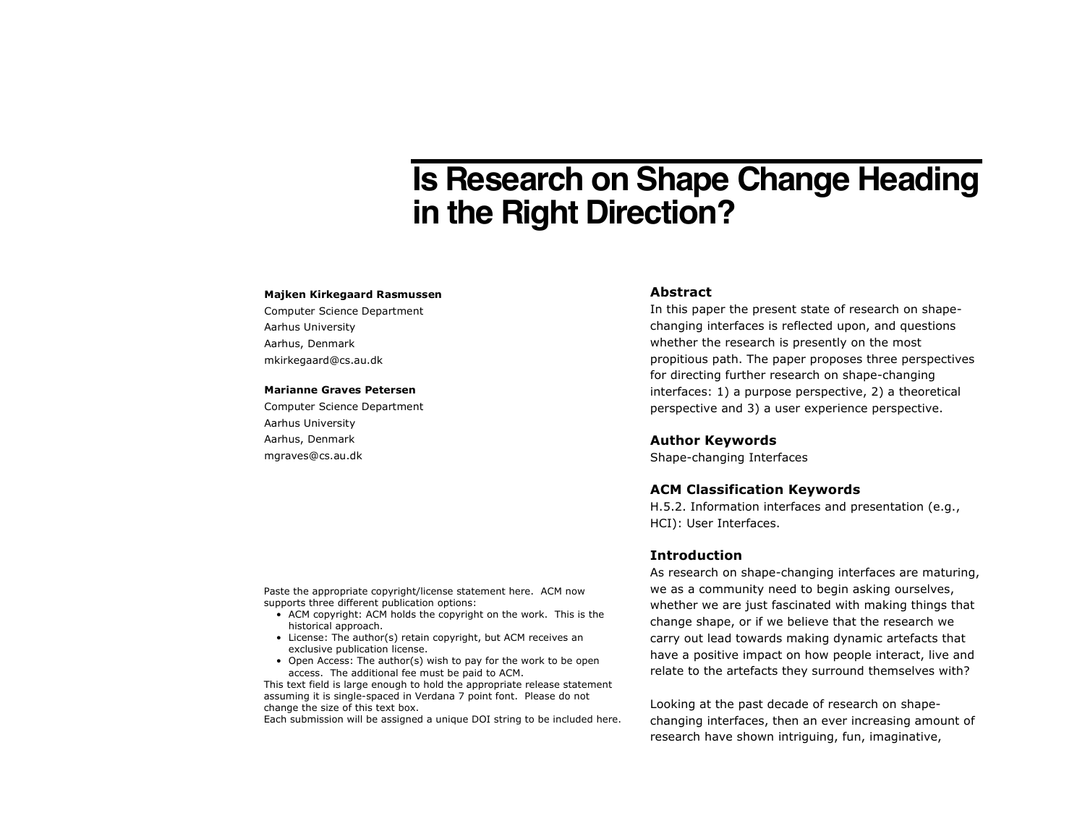# **Is Research on Shape Change Heading in the Right Direction?**

#### **Majken Kirkegaard Rasmussen**

Computer Science Department Aarhus University Aarhus, Denmark mkirkegaard@cs.au.dk

#### **Marianne Graves Petersen**

Computer Science Department Aarhus University Aarhus, Denmark mgraves@cs.au.dk

#### **Abstract**

In this paper the present state of research on shapechanging interfaces is reflected upon, and questions whether the research is presently on the most propitious path. The paper proposes three perspectives for directing further research on shape-changing interfaces: 1) a purpose perspective, 2) a theoretical perspective and 3) a user experience perspective.

#### **Author Keywords**

Shape-changing Interfaces

#### **ACM Classification Keywords**

H.5.2. Information interfaces and presentation (e.g., HCI): User Interfaces.

## **Introduction**

As research on shape-changing interfaces are maturing, we as a community need to begin asking ourselves, whether we are just fascinated with making things that change shape, or if we believe that the research we carry out lead towards making dynamic artefacts that have a positive impact on how people interact, live and relate to the artefacts they surround themselves with?

Looking at the past decade of research on shapechanging interfaces, then an ever increasing amount of research have shown intriguing, fun, imaginative,

Paste the appropriate copyright/license statement here. ACM now supports three different publication options:

- ACM copyright: ACM holds the copyright on the work. This is the historical approach.
- License: The author(s) retain copyright, but ACM receives an exclusive publication license.
- Open Access: The author(s) wish to pay for the work to be open access. The additional fee must be paid to ACM.

This text field is large enough to hold the appropriate release statement assuming it is single-spaced in Verdana 7 point font. Please do not change the size of this text box.

Each submission will be assigned a unique DOI string to be included here.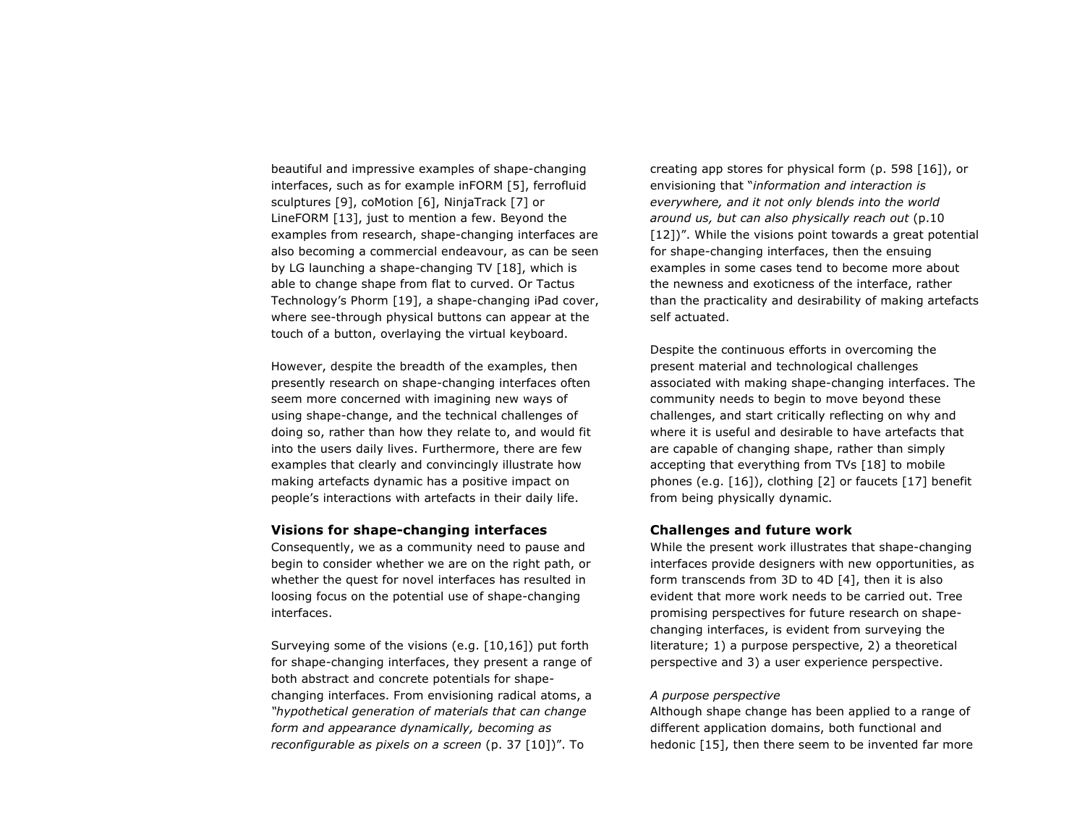beautiful and impressive examples of shape-changing interfaces, such as for example inFORM [5], ferrofluid sculptures [9], coMotion [6], NinjaTrack [7] or LineFORM [13], just to mention a few. Beyond the examples from research, shape-changing interfaces are also becoming a commercial endeavour, as can be seen by LG launching a shape-changing TV [18], which is able to change shape from flat to curved. Or Tactus Technology's Phorm [19], a shape-changing iPad cover, where see-through physical buttons can appear at the touch of a button, overlaying the virtual keyboard.

However, despite the breadth of the examples, then presently research on shape-changing interfaces often seem more concerned with imagining new ways of using shape-change, and the technical challenges of doing so, rather than how they relate to, and would fit into the users daily lives. Furthermore, there are few examples that clearly and convincingly illustrate how making artefacts dynamic has a positive impact on people's interactions with artefacts in their daily life.

### **Visions for shape-changing interfaces**

Consequently, we as a community need to pause and begin to consider whether we are on the right path, or whether the quest for novel interfaces has resulted in loosing focus on the potential use of shape-changing interfaces.

Surveying some of the visions (e.g. [10,16]) put forth for shape-changing interfaces, they present a range of both abstract and concrete potentials for shapechanging interfaces. From envisioning radical atoms, a *"hypothetical generation of materials that can change form and appearance dynamically, becoming as reconfigurable as pixels on a screen* (p. 37 [10])". To

creating app stores for physical form (p. 598 [16]), or envisioning that "*information and interaction is everywhere, and it not only blends into the world around us, but can also physically reach out* (p.10 [12])". While the visions point towards a great potential for shape-changing interfaces, then the ensuing examples in some cases tend to become more about the newness and exoticness of the interface, rather than the practicality and desirability of making artefacts self actuated.

Despite the continuous efforts in overcoming the present material and technological challenges associated with making shape-changing interfaces. The community needs to begin to move beyond these challenges, and start critically reflecting on why and where it is useful and desirable to have artefacts that are capable of changing shape, rather than simply accepting that everything from TVs [18] to mobile phones (e.g. [16]), clothing [2] or faucets [17] benefit from being physically dynamic.

# **Challenges and future work**

While the present work illustrates that shape-changing interfaces provide designers with new opportunities, as form transcends from 3D to 4D [4], then it is also evident that more work needs to be carried out. Tree promising perspectives for future research on shapechanging interfaces, is evident from surveying the literature; 1) a purpose perspective, 2) a theoretical perspective and 3) a user experience perspective.

## *A purpose perspective*

Although shape change has been applied to a range of different application domains, both functional and hedonic [15], then there seem to be invented far more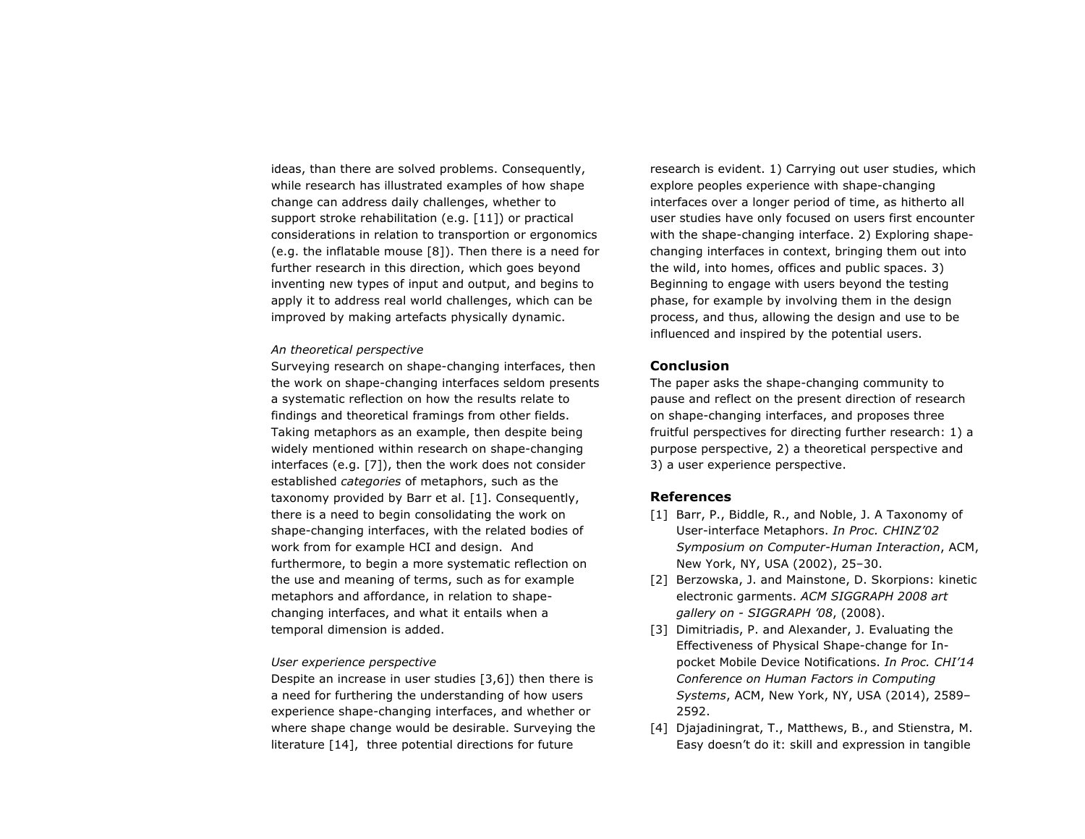ideas, than there are solved problems. Consequently, while research has illustrated examples of how shape change can address daily challenges, whether to support stroke rehabilitation (e.g. [11]) or practical considerations in relation to transportion or ergonomics (e.g. the inflatable mouse [8]). Then there is a need for further research in this direction, which goes beyond inventing new types of input and output, and begins to apply it to address real world challenges, which can be improved by making artefacts physically dynamic.

#### *An theoretical perspective*

Surveying research on shape-changing interfaces, then the work on shape-changing interfaces seldom presents a systematic reflection on how the results relate to findings and theoretical framings from other fields. Taking metaphors as an example, then despite being widely mentioned within research on shape-changing interfaces (e.g. [7]), then the work does not consider established *categories* of metaphors, such as the taxonomy provided by Barr et al. [1]. Consequently, there is a need to begin consolidating the work on shape-changing interfaces, with the related bodies of work from for example HCI and design. And furthermore, to begin a more systematic reflection on the use and meaning of terms, such as for example metaphors and affordance, in relation to shapechanging interfaces, and what it entails when a temporal dimension is added.

#### *User experience perspective*

Despite an increase in user studies [3,6]) then there is a need for furthering the understanding of how users experience shape-changing interfaces, and whether or where shape change would be desirable. Surveying the literature [14], three potential directions for future

research is evident. 1) Carrying out user studies, which explore peoples experience with shape-changing interfaces over a longer period of time, as hitherto all user studies have only focused on users first encounter with the shape-changing interface. 2) Exploring shapechanging interfaces in context, bringing them out into the wild, into homes, offices and public spaces. 3) Beginning to engage with users beyond the testing phase, for example by involving them in the design process, and thus, allowing the design and use to be influenced and inspired by the potential users.

# **Conclusion**

The paper asks the shape-changing community to pause and reflect on the present direction of research on shape-changing interfaces, and proposes three fruitful perspectives for directing further research: 1) a purpose perspective, 2) a theoretical perspective and 3) a user experience perspective.

## **References**

- [1] Barr, P., Biddle, R., and Noble, J. A Taxonomy of User-interface Metaphors. *In Proc. CHINZ'02 Symposium on Computer-Human Interaction*, ACM, New York, NY, USA (2002), 25–30.
- [2] Berzowska, J. and Mainstone, D. Skorpions: kinetic electronic garments. *ACM SIGGRAPH 2008 art gallery on - SIGGRAPH '08*, (2008).
- [3] Dimitriadis, P. and Alexander, J. Evaluating the Effectiveness of Physical Shape-change for Inpocket Mobile Device Notifications. *In Proc. CHI'14 Conference on Human Factors in Computing Systems*, ACM, New York, NY, USA (2014), 2589– 2592.
- [4] Djajadiningrat, T., Matthews, B., and Stienstra, M. Easy doesn't do it: skill and expression in tangible